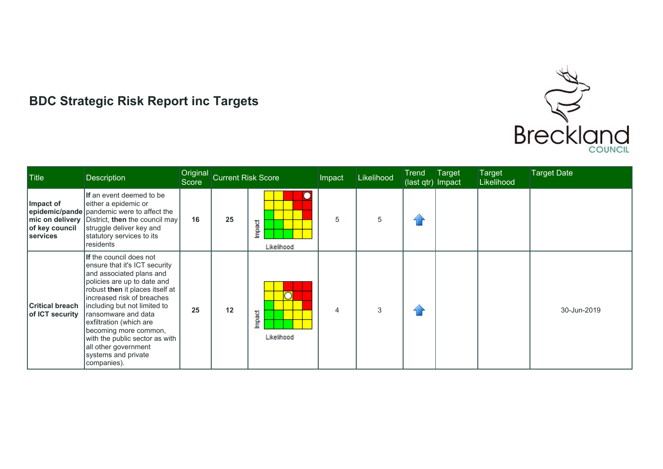

## **BDC Strategic Risk Report inc Targets**

| <b>Title</b>                              | <b>Description</b>                                                                                                                                                                                                                                                                                                                                                                               | Original<br>Score | <b>Current Risk Score</b> |                           | Impact | <b>Likelihood</b> | Trend<br>(last qtr) Impact | Target | Target<br>Likelihood | <b>Target Date</b> |
|-------------------------------------------|--------------------------------------------------------------------------------------------------------------------------------------------------------------------------------------------------------------------------------------------------------------------------------------------------------------------------------------------------------------------------------------------------|-------------------|---------------------------|---------------------------|--------|-------------------|----------------------------|--------|----------------------|--------------------|
| Impact of<br>of key council<br>services   | If an event deemed to be<br>either a epidemic or<br>epidemic/pande   pandemic were to affect the<br>mic on delivery District, then the council may<br>struggle deliver key and<br>statutory services to its<br>residents                                                                                                                                                                         | 16                | 25                        | Э<br>Impact<br>Likelihood | 5      | 5                 | fi r                       |        |                      |                    |
| <b>Critical breach</b><br>of ICT security | If the council does not<br>ensure that it's ICT security<br>and associated plans and<br>policies are up to date and<br>robust then it places itself at<br>lincreased risk of breaches<br>including but not limited to<br>ransomware and data<br>exfiltration (which are<br>becoming more common,<br>with the public sector as with<br>all other government<br>systems and private<br>companies). | 25                | 12                        | ∩<br>Impact<br>Likelihood | 4      | 3                 | 11                         |        |                      | 30-Jun-2019        |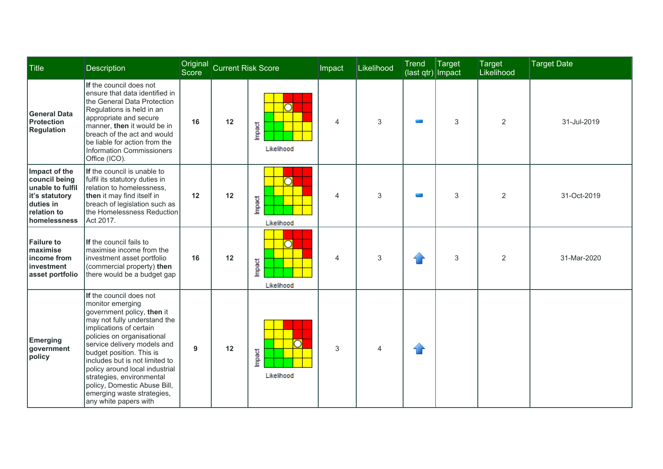| <b>Title</b>                                                                                                     | Description                                                                                                                                                                                                                                                                                                                                                                                                           | <b>Score</b> | Original Current Risk Score |                                            | Impact | Likelihood     | Trend<br>(last qtr) Impact | Target | <b>Target</b><br>Likelihood | <b>Target Date</b> |
|------------------------------------------------------------------------------------------------------------------|-----------------------------------------------------------------------------------------------------------------------------------------------------------------------------------------------------------------------------------------------------------------------------------------------------------------------------------------------------------------------------------------------------------------------|--------------|-----------------------------|--------------------------------------------|--------|----------------|----------------------------|--------|-----------------------------|--------------------|
| General Data<br><b>Protection</b><br><b>Regulation</b>                                                           | If the council does not<br>ensure that data identified in<br>the General Data Protection<br>Regulations is held in an<br>appropriate and secure<br>manner, then it would be in<br>breach of the act and would<br>be liable for action from the<br><b>Information Commissioners</b><br>Office (ICO).                                                                                                                   | 16           | 12                          | ∩<br>Impact<br>Likelihood                  | 4      | 3              |                            | 3      | $\overline{2}$              | 31-Jul-2019        |
| Impact of the<br>council being<br>unable to fulfil<br>it's statutory<br>duties in<br>relation to<br>homelessness | If the council is unable to<br>fulfil its statutory duties in<br>Irelation to homelessness.<br>then it may find itself in<br>breach of legislation such as<br>the Homelessness Reduction<br>Act 2017.                                                                                                                                                                                                                 | 12           | 12                          | ∩<br>Impact<br>Likelihood                  | 4      | 3              |                            | 3      | 2                           | 31-Oct-2019        |
| <b>Failure to</b><br><b>Imaximise</b><br>income from<br>investment<br>asset portfolio                            | If the council fails to<br>maximise income from the<br>investment asset portfolio<br>(commercial property) then<br>there would be a budget gap                                                                                                                                                                                                                                                                        | 16           | 12                          | $\overline{\rm O}$<br>Impact<br>Likelihood | 4      | 3              | $\bigcap$                  | 3      | $\overline{2}$              | 31-Mar-2020        |
| <b>Emerging</b><br>government<br>policy                                                                          | If the council does not<br>monitor emerging<br>government policy, then it<br>may not fully understand the<br>implications of certain<br>policies on organisational<br>service delivery models and<br>budget position. This is<br>includes but is not limited to<br>policy around local industrial<br>strategies, environmental<br>policy, Domestic Abuse Bill,<br>emerging waste strategies,<br>any white papers with | 9            | 12                          | Impact<br>Likelihood                       | 3      | $\overline{4}$ | $\curvearrowleft$          |        |                             |                    |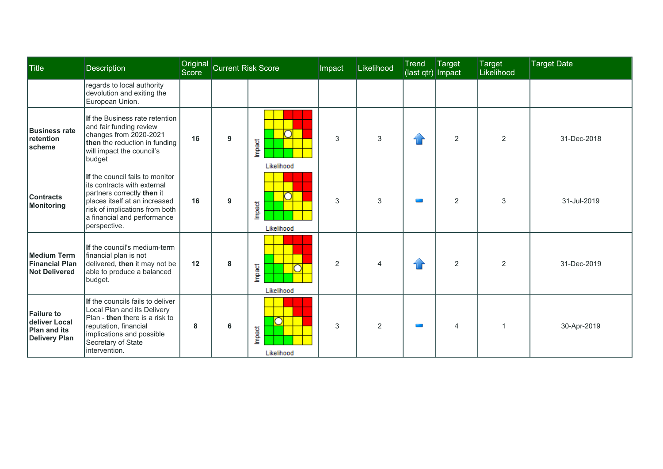| Title                                                                      | <b>Description</b>                                                                                                                                                                                              | Score | Original Current Risk Score |                           | Impact         | Likelihood     | <b>Trend</b><br>(last qtr) Impact  | Target         | Target<br>Likelihood | <b>Target Date</b> |
|----------------------------------------------------------------------------|-----------------------------------------------------------------------------------------------------------------------------------------------------------------------------------------------------------------|-------|-----------------------------|---------------------------|----------------|----------------|------------------------------------|----------------|----------------------|--------------------|
|                                                                            | regards to local authority<br>devolution and exiting the<br>European Union.                                                                                                                                     |       |                             |                           |                |                |                                    |                |                      |                    |
| <b>Business rate</b><br>retention<br>scheme                                | If the Business rate retention<br>and fair funding review<br>changes from 2020-2021<br>then the reduction in funding<br>will impact the council's<br>budget                                                     | 16    | 9                           | Impact<br>Likelihood      | 3              | 3              | $\left\langle \cdot \right\rangle$ | $\overline{2}$ | 2                    | 31-Dec-2018        |
| <b>Contracts</b><br>Monitoring                                             | If the council fails to monitor<br>lits contracts with external<br>partners correctly then it<br>places itself at an increased<br>risk of implications from both<br>a financial and performance<br>perspective. | 16    | 9                           | Impact<br>Likelihood      | 3              | 3              |                                    | $\overline{2}$ | 3                    | 31-Jul-2019        |
| <b>Medium Term</b><br><b>Financial Plan</b><br><b>Not Delivered</b>        | If the council's medium-term<br>financial plan is not<br>delivered, then it may not be<br>able to produce a balanced<br>budget.                                                                                 | 12    | 8                           | Impact<br>Likelihood      | $\overline{2}$ | $\overline{4}$ |                                    | $\overline{2}$ | 2                    | 31-Dec-2019        |
| <b>Failure to</b><br>deliver Local<br>Plan and its<br><b>Delivery Plan</b> | If the councils fails to deliver<br>Local Plan and its Delivery<br>Plan - then there is a risk to<br>reputation, financial<br>implications and possible<br>Secretary of State<br>lintervention.                 | 8     | 6                           | ⊃<br>Impact<br>Likelihood | 3              | $\overline{2}$ |                                    | 4              |                      | 30-Apr-2019        |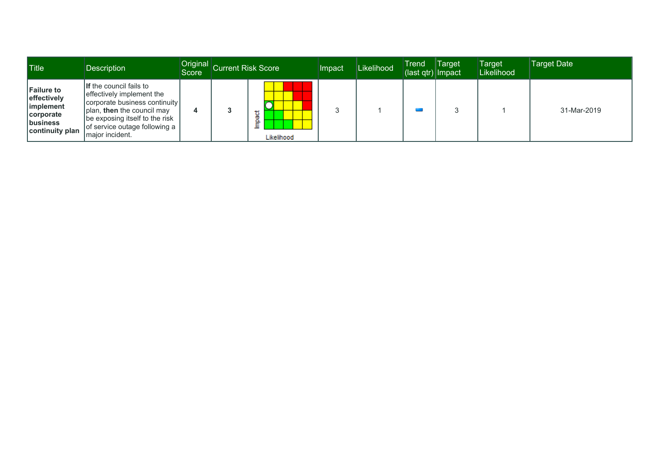| <b>Title</b>                                                                                       | <b>Description</b>                                                                                                                                                                                          | <b>Score</b> | Original Current Risk Score | Impact | Likelihood | <b>Trend</b><br>$\frac{1}{2} (last qtr)   Impact$ | Target | <b>Target</b><br>Likelihood | Target Date |
|----------------------------------------------------------------------------------------------------|-------------------------------------------------------------------------------------------------------------------------------------------------------------------------------------------------------------|--------------|-----------------------------|--------|------------|---------------------------------------------------|--------|-----------------------------|-------------|
| <b>Failure to</b><br>effectively<br><i>implement</i><br>  corporate<br>business<br>continuity plan | If the council fails to<br>effectively implement the<br>corporate business continuity<br>plan, then the council may<br>  be exposing itself to the risk<br>of service outage following a<br>major incident. |              | 혋<br>Ê<br>Likelihood        |        |            |                                                   |        |                             | 31-Mar-2019 |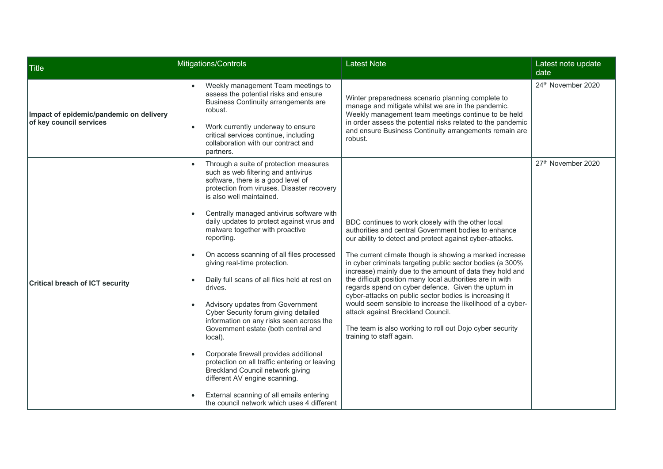| Title                                                              | Mitigations/Controls                                                                                                                                                                                                                                                                                                                                                                                                                                                                                                                                                                                                                                                                                                                                                                                                                                                                                                                | <b>Latest Note</b>                                                                                                                                                                                                                                                                                                                                                                                                                                                                                                                                                                                                                                                                                                                  | Latest note update<br>date |
|--------------------------------------------------------------------|-------------------------------------------------------------------------------------------------------------------------------------------------------------------------------------------------------------------------------------------------------------------------------------------------------------------------------------------------------------------------------------------------------------------------------------------------------------------------------------------------------------------------------------------------------------------------------------------------------------------------------------------------------------------------------------------------------------------------------------------------------------------------------------------------------------------------------------------------------------------------------------------------------------------------------------|-------------------------------------------------------------------------------------------------------------------------------------------------------------------------------------------------------------------------------------------------------------------------------------------------------------------------------------------------------------------------------------------------------------------------------------------------------------------------------------------------------------------------------------------------------------------------------------------------------------------------------------------------------------------------------------------------------------------------------------|----------------------------|
| Impact of epidemic/pandemic on delivery<br>of key council services | Weekly management Team meetings to<br>assess the potential risks and ensure<br>Business Continuity arrangements are<br>robust.<br>Work currently underway to ensure<br>critical services continue, including<br>collaboration with our contract and<br>partners.                                                                                                                                                                                                                                                                                                                                                                                                                                                                                                                                                                                                                                                                    | Winter preparedness scenario planning complete to<br>manage and mitigate whilst we are in the pandemic.<br>Weekly management team meetings continue to be held<br>in order assess the potential risks related to the pandemic<br>and ensure Business Continuity arrangements remain are<br>robust.                                                                                                                                                                                                                                                                                                                                                                                                                                  | 24th November 2020         |
| <b>Critical breach of ICT security</b>                             | Through a suite of protection measures<br>$\bullet$<br>such as web filtering and antivirus<br>software, there is a good level of<br>protection from viruses. Disaster recovery<br>is also well maintained.<br>Centrally managed antivirus software with<br>daily updates to protect against virus and<br>malware together with proactive<br>reporting.<br>On access scanning of all files processed<br>giving real-time protection.<br>Daily full scans of all files held at rest on<br>drives.<br>Advisory updates from Government<br>Cyber Security forum giving detailed<br>information on any risks seen across the<br>Government estate (both central and<br>local).<br>Corporate firewall provides additional<br>protection on all traffic entering or leaving<br>Breckland Council network giving<br>different AV engine scanning.<br>External scanning of all emails entering<br>the council network which uses 4 different | BDC continues to work closely with the other local<br>authorities and central Government bodies to enhance<br>our ability to detect and protect against cyber-attacks.<br>The current climate though is showing a marked increase<br>in cyber criminals targeting public sector bodies (a 300%<br>increase) mainly due to the amount of data they hold and<br>the difficult position many local authorities are in with<br>regards spend on cyber defence. Given the upturn in<br>cyber-attacks on public sector bodies is increasing it<br>would seem sensible to increase the likelihood of a cyber-<br>attack against Breckland Council.<br>The team is also working to roll out Dojo cyber security<br>training to staff again. | 27th November 2020         |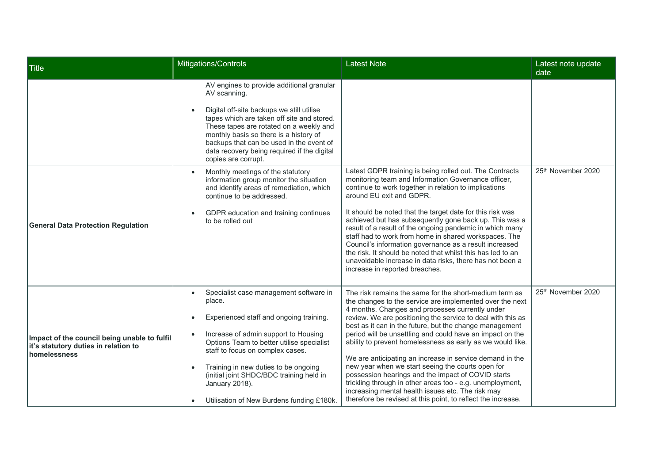| Title                                                                                                | Mitigations/Controls                                                                                                                                                                                                                                                                                                                                                                              | Latest Note                                                                                                                                                                                                                                                                                                                                                                                                                                                                                                                                                                                                                                                                                                                                                                         | Latest note update<br>date |
|------------------------------------------------------------------------------------------------------|---------------------------------------------------------------------------------------------------------------------------------------------------------------------------------------------------------------------------------------------------------------------------------------------------------------------------------------------------------------------------------------------------|-------------------------------------------------------------------------------------------------------------------------------------------------------------------------------------------------------------------------------------------------------------------------------------------------------------------------------------------------------------------------------------------------------------------------------------------------------------------------------------------------------------------------------------------------------------------------------------------------------------------------------------------------------------------------------------------------------------------------------------------------------------------------------------|----------------------------|
|                                                                                                      | AV engines to provide additional granular<br>AV scanning.<br>Digital off-site backups we still utilise<br>tapes which are taken off site and stored.<br>These tapes are rotated on a weekly and<br>monthly basis so there is a history of<br>backups that can be used in the event of<br>data recovery being required if the digital<br>copies are corrupt.                                       |                                                                                                                                                                                                                                                                                                                                                                                                                                                                                                                                                                                                                                                                                                                                                                                     |                            |
| <b>General Data Protection Regulation</b>                                                            | Monthly meetings of the statutory<br>information group monitor the situation<br>and identify areas of remediation, which<br>continue to be addressed.<br>GDPR education and training continues<br>to be rolled out                                                                                                                                                                                | Latest GDPR training is being rolled out. The Contracts<br>monitoring team and Information Governance officer,<br>continue to work together in relation to implications<br>around EU exit and GDPR.<br>It should be noted that the target date for this risk was<br>achieved but has subsequently gone back up. This was a<br>result of a result of the ongoing pandemic in which many<br>staff had to work from home in shared workspaces. The<br>Council's information governance as a result increased<br>the risk. It should be noted that whilst this has led to an<br>unavoidable increase in data risks, there has not been a<br>increase in reported breaches.                                                                                                              | 25th November 2020         |
| Impact of the council being unable to fulfil<br>it's statutory duties in relation to<br>homelessness | Specialist case management software in<br>$\bullet$<br>place.<br>Experienced staff and ongoing training.<br>$\bullet$<br>Increase of admin support to Housing<br>Options Team to better utilise specialist<br>staff to focus on complex cases.<br>Training in new duties to be ongoing<br>(initial joint SHDC/BDC training held in<br>January 2018).<br>Utilisation of New Burdens funding £180k. | The risk remains the same for the short-medium term as<br>the changes to the service are implemented over the next<br>4 months. Changes and processes currently under<br>review. We are positioning the service to deal with this as<br>best as it can in the future, but the change management<br>period will be unsettling and could have an impact on the<br>ability to prevent homelessness as early as we would like.<br>We are anticipating an increase in service demand in the<br>new year when we start seeing the courts open for<br>possession hearings and the impact of COVID starts<br>trickling through in other areas too - e.g. unemployment,<br>increasing mental health issues etc. The risk may<br>therefore be revised at this point, to reflect the increase. | 25th November 2020         |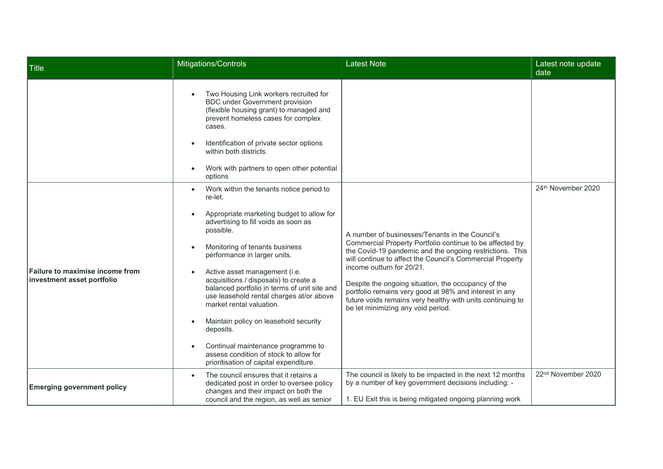| Title                                                                | Mitigations/Controls                                                                                                                                                                                                                                                                                                                                                                                                                                                                                                                                                                                                   | <b>Latest Note</b>                                                                                                                                                                                                                                                                                                                                                                                                                                                                     | Latest note update<br>date     |
|----------------------------------------------------------------------|------------------------------------------------------------------------------------------------------------------------------------------------------------------------------------------------------------------------------------------------------------------------------------------------------------------------------------------------------------------------------------------------------------------------------------------------------------------------------------------------------------------------------------------------------------------------------------------------------------------------|----------------------------------------------------------------------------------------------------------------------------------------------------------------------------------------------------------------------------------------------------------------------------------------------------------------------------------------------------------------------------------------------------------------------------------------------------------------------------------------|--------------------------------|
|                                                                      | Two Housing Link workers recruited for<br><b>BDC</b> under Government provision<br>(flexible housing grant) to managed and<br>prevent homeless cases for complex<br>cases.<br>Identification of private sector options<br>within both districts.<br>Work with partners to open other potential<br>options                                                                                                                                                                                                                                                                                                              |                                                                                                                                                                                                                                                                                                                                                                                                                                                                                        |                                |
| <b>Failure to maximise income from</b><br>investment asset portfolio | Work within the tenants notice period to<br>re-let.<br>Appropriate marketing budget to allow for<br>advertising to fill voids as soon as<br>possible.<br>Monitoring of tenants business<br>performance in larger units.<br>Active asset management (i.e.<br>acquisitions / disposals) to create a<br>balanced portfolio in terms of unit site and<br>use leasehold rental charges at/or above<br>market rental valuation.<br>Maintain policy on leasehold security<br>$\bullet$<br>deposits.<br>Continual maintenance programme to<br>assess condition of stock to allow for<br>prioritisation of capital expenditure. | A number of businesses/Tenants in the Council's<br>Commercial Property Portfolio continue to be affected by<br>the Covid-19 pandemic and the ongoing restrictions. This<br>will continue to affect the Council's Commercial Property<br>income outturn for 20/21.<br>Despite the ongoing situation, the occupancy of the<br>portfolio remains very good at 98% and interest in any<br>future voids remains very healthy with units continuing to<br>be let minimizing any void period. | 24th November 2020             |
| <b>Emerging government policy</b>                                    | The council ensures that it retains a<br>$\bullet$<br>dedicated post in order to oversee policy<br>changes and their impact on both the<br>council and the region, as well as senior                                                                                                                                                                                                                                                                                                                                                                                                                                   | The council is likely to be impacted in the next 12 months<br>by a number of key government decisions including: -<br>1. EU Exit this is being mitigated ongoing planning work                                                                                                                                                                                                                                                                                                         | 22 <sup>nd</sup> November 2020 |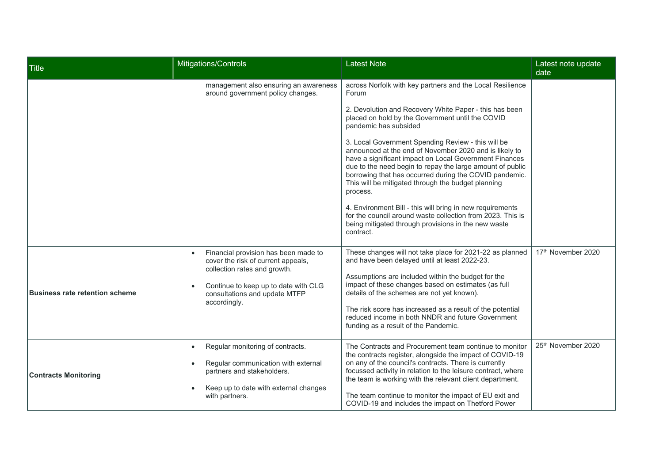| Title                          | Mitigations/Controls                                                                                                                                                                                             | <b>Latest Note</b>                                                                                                                                                                                                                                                                                                                                                                                                             | Latest note update<br>date |
|--------------------------------|------------------------------------------------------------------------------------------------------------------------------------------------------------------------------------------------------------------|--------------------------------------------------------------------------------------------------------------------------------------------------------------------------------------------------------------------------------------------------------------------------------------------------------------------------------------------------------------------------------------------------------------------------------|----------------------------|
|                                | management also ensuring an awareness<br>around government policy changes.                                                                                                                                       | across Norfolk with key partners and the Local Resilience<br>Forum                                                                                                                                                                                                                                                                                                                                                             |                            |
|                                |                                                                                                                                                                                                                  | 2. Devolution and Recovery White Paper - this has been<br>placed on hold by the Government until the COVID<br>pandemic has subsided                                                                                                                                                                                                                                                                                            |                            |
|                                |                                                                                                                                                                                                                  | 3. Local Government Spending Review - this will be<br>announced at the end of November 2020 and is likely to<br>have a significant impact on Local Government Finances<br>due to the need begin to repay the large amount of public<br>borrowing that has occurred during the COVID pandemic.<br>This will be mitigated through the budget planning<br>process.                                                                |                            |
|                                |                                                                                                                                                                                                                  | 4. Environment Bill - this will bring in new requirements<br>for the council around waste collection from 2023. This is<br>being mitigated through provisions in the new waste<br>contract.                                                                                                                                                                                                                                    |                            |
| Business rate retention scheme | Financial provision has been made to<br>$\bullet$<br>cover the risk of current appeals,<br>collection rates and growth.<br>Continue to keep up to date with CLG<br>consultations and update MTFP<br>accordingly. | These changes will not take place for 2021-22 as planned<br>and have been delayed until at least 2022-23.<br>Assumptions are included within the budget for the<br>impact of these changes based on estimates (as full<br>details of the schemes are not yet known).<br>The risk score has increased as a result of the potential<br>reduced income in both NNDR and future Government<br>funding as a result of the Pandemic. | 17th November 2020         |
| <b>Contracts Monitoring</b>    | Regular monitoring of contracts.<br>$\bullet$<br>Regular communication with external<br>$\bullet$<br>partners and stakeholders.<br>Keep up to date with external changes<br>with partners.                       | The Contracts and Procurement team continue to monitor<br>the contracts register, alongside the impact of COVID-19<br>on any of the council's contracts. There is currently<br>focussed activity in relation to the leisure contract, where<br>the team is working with the relevant client department.<br>The team continue to monitor the impact of EU exit and<br>COVID-19 and includes the impact on Thetford Power        | 25th November 2020         |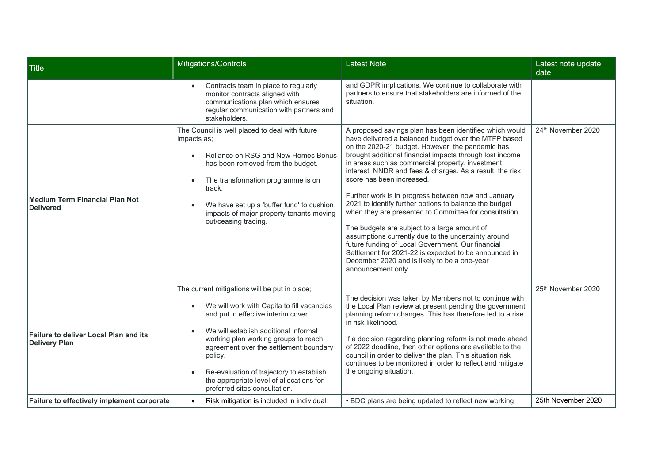| Title                                                                | Mitigations/Controls                                                                                                                                                                                                                                                                                                                                                                              | <b>Latest Note</b>                                                                                                                                                                                                                                                                                                                                                                                                                                                                                                                                                                                                                                                                                                                                                                                                                                 | Latest note update<br>date |
|----------------------------------------------------------------------|---------------------------------------------------------------------------------------------------------------------------------------------------------------------------------------------------------------------------------------------------------------------------------------------------------------------------------------------------------------------------------------------------|----------------------------------------------------------------------------------------------------------------------------------------------------------------------------------------------------------------------------------------------------------------------------------------------------------------------------------------------------------------------------------------------------------------------------------------------------------------------------------------------------------------------------------------------------------------------------------------------------------------------------------------------------------------------------------------------------------------------------------------------------------------------------------------------------------------------------------------------------|----------------------------|
|                                                                      | Contracts team in place to regularly<br>monitor contracts aligned with<br>communications plan which ensures<br>regular communication with partners and<br>stakeholders.                                                                                                                                                                                                                           | and GDPR implications. We continue to collaborate with<br>partners to ensure that stakeholders are informed of the<br>situation.                                                                                                                                                                                                                                                                                                                                                                                                                                                                                                                                                                                                                                                                                                                   |                            |
| Medium Term Financial Plan Not<br>Delivered                          | The Council is well placed to deal with future<br>impacts as;<br>Reliance on RSG and New Homes Bonus<br>has been removed from the budget.<br>The transformation programme is on<br>track.<br>We have set up a 'buffer fund' to cushion<br>impacts of major property tenants moving<br>out/ceasing trading.                                                                                        | A proposed savings plan has been identified which would<br>have delivered a balanced budget over the MTFP based<br>on the 2020-21 budget. However, the pandemic has<br>brought additional financial impacts through lost income<br>in areas such as commercial property, investment<br>interest, NNDR and fees & charges. As a result, the risk<br>score has been increased.<br>Further work is in progress between now and January<br>2021 to identify further options to balance the budget<br>when they are presented to Committee for consultation.<br>The budgets are subject to a large amount of<br>assumptions currently due to the uncertainty around<br>future funding of Local Government. Our financial<br>Settlement for 2021-22 is expected to be announced in<br>December 2020 and is likely to be a one-year<br>announcement only. | 24th November 2020         |
| <b>Failure to deliver Local Plan and its</b><br><b>Delivery Plan</b> | The current mitigations will be put in place;<br>We will work with Capita to fill vacancies<br>and put in effective interim cover.<br>We will establish additional informal<br>working plan working groups to reach<br>agreement over the settlement boundary<br>policy.<br>Re-evaluation of trajectory to establish<br>the appropriate level of allocations for<br>preferred sites consultation. | The decision was taken by Members not to continue with<br>the Local Plan review at present pending the government<br>planning reform changes. This has therefore led to a rise<br>in risk likelihood.<br>If a decision regarding planning reform is not made ahead<br>of 2022 deadline, then other options are available to the<br>council in order to deliver the plan. This situation risk<br>continues to be monitored in order to reflect and mitigate<br>the ongoing situation.                                                                                                                                                                                                                                                                                                                                                               | 25th November 2020         |
| Failure to effectively implement corporate                           | Risk mitigation is included in individual                                                                                                                                                                                                                                                                                                                                                         | • BDC plans are being updated to reflect new working                                                                                                                                                                                                                                                                                                                                                                                                                                                                                                                                                                                                                                                                                                                                                                                               | 25th November 2020         |